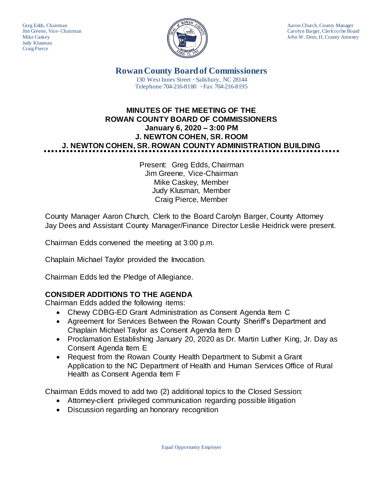Judy Klusman Craig Pierce



Greg Edds, Chairman Aaron Church, County Manager<br>Jim Greene, Vice-Chairman Aaron Church, County Manager and Aaron Church, County Manager Carolyn Barger, Clerk to the Board Mike Caskey John W. Dees, II, County Attorney

> **Rowan County Board of Commissioners** 130 West Innes Street **∙** Salisbury, NC 28144 Telephone 704-216-8180 **∙** Fax 704-216-8195

# **MINUTES OF THE MEETING OF THE ROWAN COUNTY BOARD OF COMMISSIONERS January 6, 2020 – 3:00 PM J. NEWTON COHEN, SR. ROOM J. NEWTON COHEN, SR. ROWAN COUNTY ADMINISTRATION BUILDING**

Present: Greg Edds, Chairman Jim Greene, Vice-Chairman Mike Caskey, Member Judy Klusman, Member Craig Pierce, Member

County Manager Aaron Church, Clerk to the Board Carolyn Barger, County Attorney Jay Dees and Assistant County Manager/Finance Director Leslie Heidrick were present.

Chairman Edds convened the meeting at 3:00 p.m.

Chaplain Michael Taylor provided the Invocation.

Chairman Edds led the Pledge of Allegiance.

# **CONSIDER ADDITIONS TO THE AGENDA**

Chairman Edds added the following items:

- Chewy CDBG-ED Grant Administration as Consent Agenda Item C
- Agreement for Services Between the Rowan County Sheriff's Department and Chaplain Michael Taylor as Consent Agenda Item D
- Proclamation Establishing January 20, 2020 as Dr. Martin Luther King, Jr. Day as Consent Agenda Item E
- Request from the Rowan County Health Department to Submit a Grant Application to the NC Department of Health and Human Services Office of Rural Health as Consent Agenda Item F

Chairman Edds moved to add two (2) additional topics to the Closed Session:

- Attorney-client privileged communication regarding possible litigation
- Discussion regarding an honorary recognition

Equal Opportunity Employer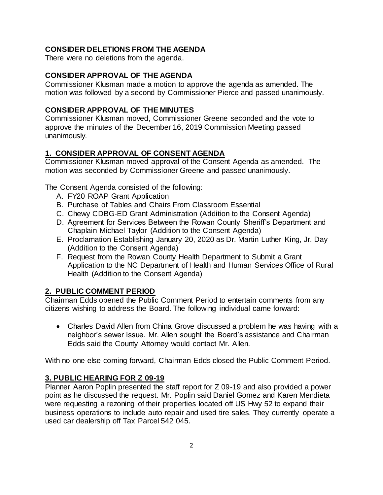#### **CONSIDER DELETIONS FROM THE AGENDA**

There were no deletions from the agenda.

#### **CONSIDER APPROVAL OF THE AGENDA**

Commissioner Klusman made a motion to approve the agenda as amended. The motion was followed by a second by Commissioner Pierce and passed unanimously.

#### **CONSIDER APPROVAL OF THE MINUTES**

Commissioner Klusman moved, Commissioner Greene seconded and the vote to approve the minutes of the December 16, 2019 Commission Meeting passed unanimously.

#### **1. CONSIDER APPROVAL OF CONSENT AGENDA**

Commissioner Klusman moved approval of the Consent Agenda as amended. The motion was seconded by Commissioner Greene and passed unanimously.

The Consent Agenda consisted of the following:

- A. FY20 ROAP Grant Application
- B. Purchase of Tables and Chairs From Classroom Essential
- C. Chewy CDBG-ED Grant Administration (Addition to the Consent Agenda)
- D. Agreement for Services Between the Rowan County Sheriff's Department and Chaplain Michael Taylor (Addition to the Consent Agenda)
- E. Proclamation Establishing January 20, 2020 as Dr. Martin Luther King, Jr. Day (Addition to the Consent Agenda)
- F. Request from the Rowan County Health Department to Submit a Grant Application to the NC Department of Health and Human Services Office of Rural Health (Addition to the Consent Agenda)

#### **2. PUBLIC COMMENT PERIOD**

Chairman Edds opened the Public Comment Period to entertain comments from any citizens wishing to address the Board. The following individual came forward:

• Charles David Allen from China Grove discussed a problem he was having with a neighbor's sewer issue. Mr. Allen sought the Board's assistance and Chairman Edds said the County Attorney would contact Mr. Allen.

With no one else coming forward, Chairman Edds closed the Public Comment Period.

#### **3. PUBLIC HEARING FOR Z 09-19**

Planner Aaron Poplin presented the staff report for Z 09-19 and also provided a power point as he discussed the request. Mr. Poplin said Daniel Gomez and Karen Mendieta were requesting a rezoning of their properties located off US Hwy 52 to expand their business operations to include auto repair and used tire sales. They currently operate a used car dealership off Tax Parcel 542 045.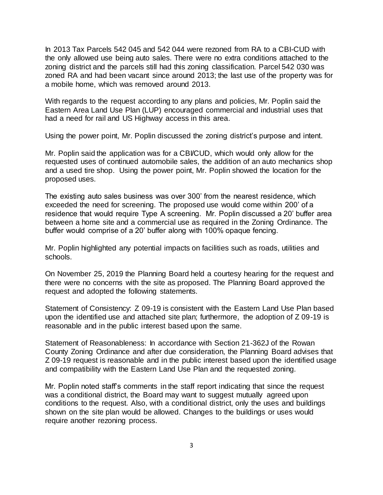In 2013 Tax Parcels 542 045 and 542 044 were rezoned from RA to a CBI-CUD with the only allowed use being auto sales. There were no extra conditions attached to the zoning district and the parcels still had this zoning classification. Parcel 542 030 was zoned RA and had been vacant since around 2013; the last use of the property was for a mobile home, which was removed around 2013.

With regards to the request according to any plans and policies, Mr. Poplin said the Eastern Area Land Use Plan (LUP) encouraged commercial and industrial uses that had a need for rail and US Highway access in this area.

Using the power point, Mr. Poplin discussed the zoning district's purpose and intent.

Mr. Poplin said the application was for a CBI/CUD, which would only allow for the requested uses of continued automobile sales, the addition of an auto mechanics shop and a used tire shop. Using the power point, Mr. Poplin showed the location for the proposed uses.

The existing auto sales business was over 300' from the nearest residence, which exceeded the need for screening. The proposed use would come within 200' of a residence that would require Type A screening. Mr. Poplin discussed a 20' buffer area between a home site and a commercial use as required in the Zoning Ordinance. The buffer would comprise of a 20' buffer along with 100% opaque fencing.

Mr. Poplin highlighted any potential impacts on facilities such as roads, utilities and schools.

On November 25, 2019 the Planning Board held a courtesy hearing for the request and there were no concerns with the site as proposed. The Planning Board approved the request and adopted the following statements.

Statement of Consistency: Z 09-19 is consistent with the Eastern Land Use Plan based upon the identified use and attached site plan; furthermore, the adoption of Z 09-19 is reasonable and in the public interest based upon the same.

Statement of Reasonableness: In accordance with Section 21-362J of the Rowan County Zoning Ordinance and after due consideration, the Planning Board advises that Z 09-19 request is reasonable and in the public interest based upon the identified usage and compatibility with the Eastern Land Use Plan and the requested zoning.

Mr. Poplin noted staff's comments in the staff report indicating that since the request was a conditional district, the Board may want to suggest mutually agreed upon conditions to the request. Also, with a conditional district, only the uses and buildings shown on the site plan would be allowed. Changes to the buildings or uses would require another rezoning process.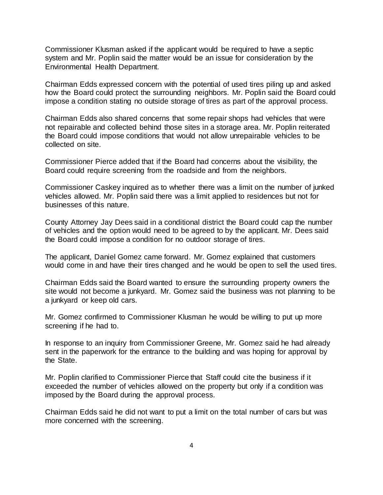Commissioner Klusman asked if the applicant would be required to have a septic system and Mr. Poplin said the matter would be an issue for consideration by the Environmental Health Department.

Chairman Edds expressed concern with the potential of used tires piling up and asked how the Board could protect the surrounding neighbors. Mr. Poplin said the Board could impose a condition stating no outside storage of tires as part of the approval process.

Chairman Edds also shared concerns that some repair shops had vehicles that were not repairable and collected behind those sites in a storage area. Mr. Poplin reiterated the Board could impose conditions that would not allow unrepairable vehicles to be collected on site.

Commissioner Pierce added that if the Board had concerns about the visibility, the Board could require screening from the roadside and from the neighbors.

Commissioner Caskey inquired as to whether there was a limit on the number of junked vehicles allowed. Mr. Poplin said there was a limit applied to residences but not for businesses of this nature.

County Attorney Jay Dees said in a conditional district the Board could cap the number of vehicles and the option would need to be agreed to by the applicant. Mr. Dees said the Board could impose a condition for no outdoor storage of tires.

The applicant, Daniel Gomez came forward. Mr. Gomez explained that customers would come in and have their tires changed and he would be open to sell the used tires.

Chairman Edds said the Board wanted to ensure the surrounding property owners the site would not become a junkyard. Mr. Gomez said the business was not planning to be a junkyard or keep old cars.

Mr. Gomez confirmed to Commissioner Klusman he would be willing to put up more screening if he had to.

In response to an inquiry from Commissioner Greene, Mr. Gomez said he had already sent in the paperwork for the entrance to the building and was hoping for approval by the State.

Mr. Poplin clarified to Commissioner Pierce that Staff could cite the business if it exceeded the number of vehicles allowed on the property but only if a condition was imposed by the Board during the approval process.

Chairman Edds said he did not want to put a limit on the total number of cars but was more concerned with the screening.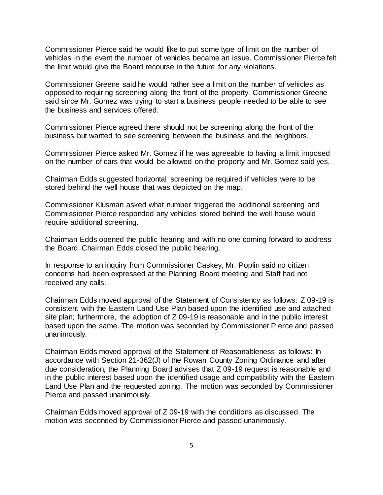Commissioner Pierce said he would like to put some type of limit on the number of vehicles in the event the number of vehicles became an issue. Commissioner Pierce felt the limit would give the Board recourse in the future for any violations.

Commissioner Greene said he would rather see a limit on the number of vehicles as opposed to requiring screening along the front of the property. Commissioner Greene said since Mr. Gomez was trying to start a business people needed to be able to see the business and services offered.

Commissioner Pierce agreed there should not be screening along the front of the business but wanted to see screening between the business and the neighbors.

Commissioner Pierce asked Mr. Gomez if he was agreeable to having a limit imposed on the number of cars that would be allowed on the property and Mr. Gomez said yes.

Chairman Edds suggested horizontal screening be required if vehicles were to be stored behind the well house that was depicted on the map.

Commissioner Klusman asked what number triggered the additional screening and Commissioner Pierce responded any vehicles stored behind the well house would require additional screening.

Chairman Edds opened the public hearing and with no one coming forward to address the Board, Chairman Edds closed the public hearing.

In response to an inquiry from Commissioner Caskey, Mr. Poplin said no citizen concerns had been expressed at the Planning Board meeting and Staff had not received any calls.

Chairman Edds moved approval of the Statement of Consistency as follows: Z 09-19 is consistent with the Eastern Land Use Plan based upon the identified use and attached site plan; furthermore, the adoption of Z 09-19 is reasonable and in the public interest based upon the same. The motion was seconded by Commissioner Pierce and passed unanimously.

Chairman Edds moved approval of the Statement of Reasonableness as follows: In accordance with Section 21-362(J) of the Rowan County Zoning Ordinance and after due consideration, the Planning Board advises that Z 09-19 request is reasonable and in the public interest based upon the identified usage and compatibility with the Eastern Land Use Plan and the requested zoning. The motion was seconded by Commissioner Pierce and passed unanimously.

Chairman Edds moved approval of Z 09-19 with the conditions as discussed. The motion was seconded by Commissioner Pierce and passed unanimously.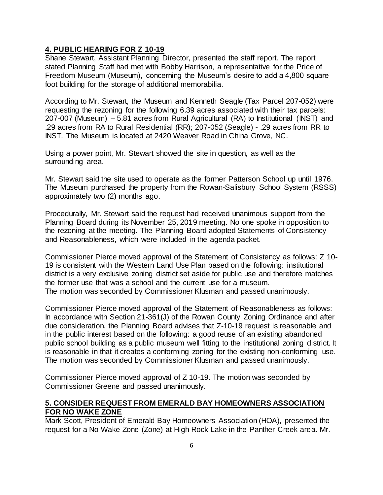#### **4. PUBLIC HEARING FOR Z 10-19**

Shane Stewart, Assistant Planning Director, presented the staff report. The report stated Planning Staff had met with Bobby Harrison, a representative for the Price of Freedom Museum (Museum), concerning the Museum's desire to add a 4,800 square foot building for the storage of additional memorabilia.

According to Mr. Stewart, the Museum and Kenneth Seagle (Tax Parcel 207-052) were requesting the rezoning for the following 6.39 acres associated with their tax parcels: 207-007 (Museum) – 5.81 acres from Rural Agricultural (RA) to Institutional (INST) and .29 acres from RA to Rural Residential (RR); 207-052 (Seagle) - .29 acres from RR to INST. The Museum is located at 2420 Weaver Road in China Grove, NC.

Using a power point, Mr. Stewart showed the site in question, as well as the surrounding area.

Mr. Stewart said the site used to operate as the former Patterson School up until 1976. The Museum purchased the property from the Rowan-Salisbury School System (RSSS) approximately two (2) months ago.

Procedurally, Mr. Stewart said the request had received unanimous support from the Planning Board during its November 25, 2019 meeting. No one spoke in opposition to the rezoning at the meeting. The Planning Board adopted Statements of Consistency and Reasonableness, which were included in the agenda packet.

Commissioner Pierce moved approval of the Statement of Consistency as follows: Z 10- 19 is consistent with the Western Land Use Plan based on the following: institutional district is a very exclusive zoning district set aside for public use and therefore matches the former use that was a school and the current use for a museum. The motion was seconded by Commissioner Klusman and passed unanimously.

Commissioner Pierce moved approval of the Statement of Reasonableness as follows: In accordance with Section 21-361(J) of the Rowan County Zoning Ordinance and after due consideration, the Planning Board advises that Z-10-19 request is reasonable and in the public interest based on the following: a good reuse of an existing abandoned public school building as a public museum well fitting to the institutional zoning district. It is reasonable in that it creates a conforming zoning for the existing non-conforming use. The motion was seconded by Commissioner Klusman and passed unanimously.

Commissioner Pierce moved approval of Z 10-19. The motion was seconded by Commissioner Greene and passed unanimously.

### **5. CONSIDER REQUEST FROM EMERALD BAY HOMEOWNERS ASSOCIATION FOR NO WAKE ZONE**

Mark Scott, President of Emerald Bay Homeowners Association (HOA), presented the request for a No Wake Zone (Zone) at High Rock Lake in the Panther Creek area. Mr.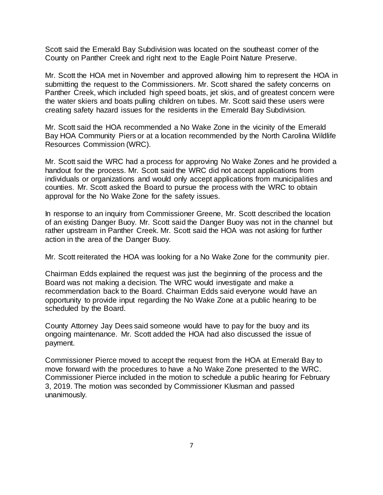Scott said the Emerald Bay Subdivision was located on the southeast corner of the County on Panther Creek and right next to the Eagle Point Nature Preserve.

Mr. Scott the HOA met in November and approved allowing him to represent the HOA in submitting the request to the Commissioners. Mr. Scott shared the safety concerns on Panther Creek, which included high speed boats, jet skis, and of greatest concern were the water skiers and boats pulling children on tubes. Mr. Scott said these users were creating safety hazard issues for the residents in the Emerald Bay Subdivision.

Mr. Scott said the HOA recommended a No Wake Zone in the vicinity of the Emerald Bay HOA Community Piers or at a location recommended by the North Carolina Wildlife Resources Commission (WRC).

Mr. Scott said the WRC had a process for approving No Wake Zones and he provided a handout for the process. Mr. Scott said the WRC did not accept applications from individuals or organizations and would only accept applications from municipalities and counties. Mr. Scott asked the Board to pursue the process with the WRC to obtain approval for the No Wake Zone for the safety issues.

In response to an inquiry from Commissioner Greene, Mr. Scott described the location of an existing Danger Buoy. Mr. Scott said the Danger Buoy was not in the channel but rather upstream in Panther Creek. Mr. Scott said the HOA was not asking for further action in the area of the Danger Buoy.

Mr. Scott reiterated the HOA was looking for a No Wake Zone for the community pier.

Chairman Edds explained the request was just the beginning of the process and the Board was not making a decision. The WRC would investigate and make a recommendation back to the Board. Chairman Edds said everyone would have an opportunity to provide input regarding the No Wake Zone at a public hearing to be scheduled by the Board.

County Attorney Jay Dees said someone would have to pay for the buoy and its ongoing maintenance. Mr. Scott added the HOA had also discussed the issue of payment.

Commissioner Pierce moved to accept the request from the HOA at Emerald Bay to move forward with the procedures to have a No Wake Zone presented to the WRC. Commissioner Pierce included in the motion to schedule a public hearing for February 3, 2019. The motion was seconded by Commissioner Klusman and passed unanimously.